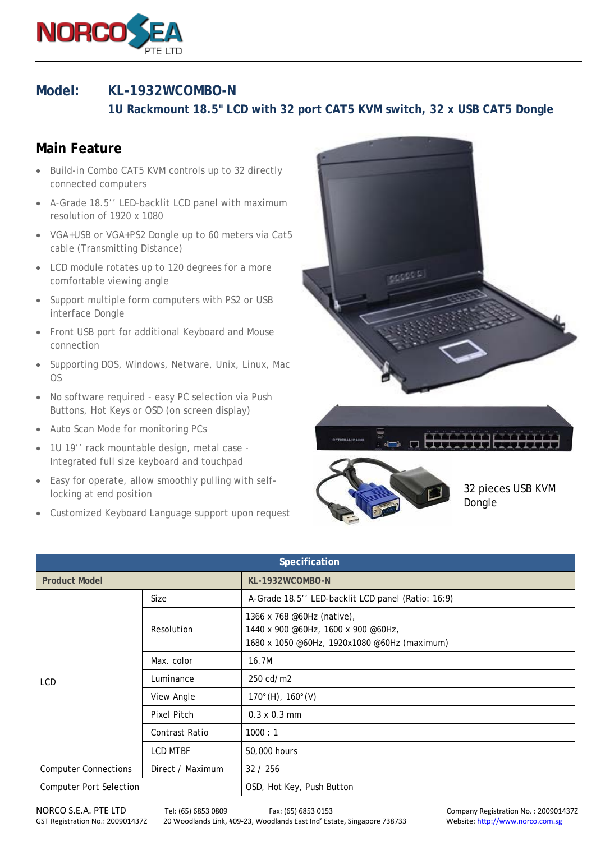

## **Model: KL-1932WCOMBO-N**

 **1U Rackmount 18.5" LCD with 32 port CAT5 KVM switch, 32 x USB CAT5 Dongle**

## **Main Feature**

- Build-in Combo CAT5 KVM controls up to 32 directly connected computers
- A-Grade 18.5'' LED-backlit LCD panel with maximum resolution of 1920 x 1080
- VGA+USB or VGA+PS2 Dongle up to 60 meters via Cat5 cable (Transmitting Distance)
- LCD module rotates up to 120 degrees for a more comfortable viewing angle
- Support multiple form computers with PS2 or USB interface Dongle
- Front USB port for additional Keyboard and Mouse connection
- Supporting DOS, Windows, Netware, Unix, Linux, Mac OS
- No software required easy PC selection via Push Buttons, Hot Keys or OSD (on screen display)
- Auto Scan Mode for monitoring PCs
- 1U 19'' rack mountable design, metal case Integrated full size keyboard and touchpad
- Easy for operate, allow smoothly pulling with selflocking at end position
- Customized Keyboard Language support upon request





32 pieces USB KVM Dongle

| Specification                  |                       |                                                                                                                   |  |  |
|--------------------------------|-----------------------|-------------------------------------------------------------------------------------------------------------------|--|--|
| <b>Product Model</b>           |                       | KL-1932WCOMBO-N                                                                                                   |  |  |
| LCD                            | Size                  | A-Grade 18.5" LED-backlit LCD panel (Ratio: 16:9)                                                                 |  |  |
|                                | Resolution            | 1366 x 768 @60Hz (native),<br>1440 x 900 @60Hz, 1600 x 900 @60Hz,<br>1680 x 1050 @60Hz, 1920x1080 @60Hz (maximum) |  |  |
|                                | Max. color            | 16.7M                                                                                                             |  |  |
|                                | Luminance             | 250 cd/m2                                                                                                         |  |  |
|                                | View Angle            | $170^{\circ}$ (H), $160^{\circ}$ (V)                                                                              |  |  |
|                                | Pixel Pitch           | $0.3 \times 0.3$ mm                                                                                               |  |  |
|                                | <b>Contrast Ratio</b> | 1000 : 1                                                                                                          |  |  |
|                                | <b>LCD MTBF</b>       | 50,000 hours                                                                                                      |  |  |
| <b>Computer Connections</b>    | Direct / Maximum      | 32 / 256                                                                                                          |  |  |
| <b>Computer Port Selection</b> |                       | OSD, Hot Key, Push Button                                                                                         |  |  |